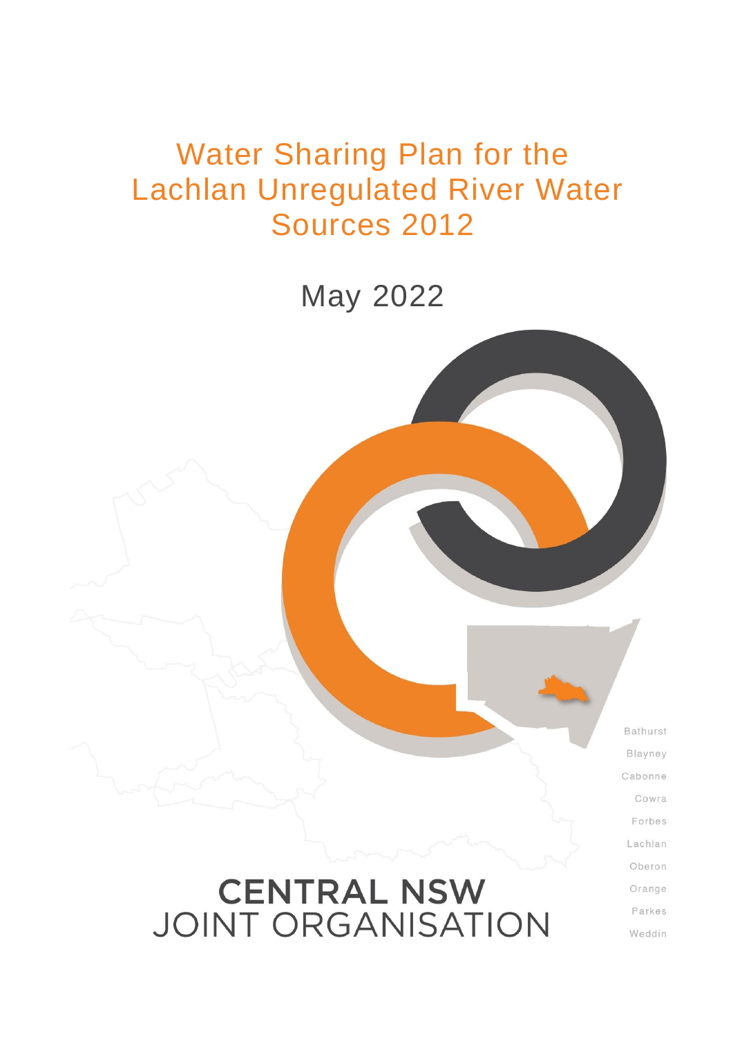# Water Sharing Plan for the Lachlan Unregulated River Water Sources 2012

May 2022

Bathurst Blayney Cabonne Cowra Forbes Lachlan Oberon Orange Parkes

Weddin

# **CENTRAL NSW JOINT ORGANISATION**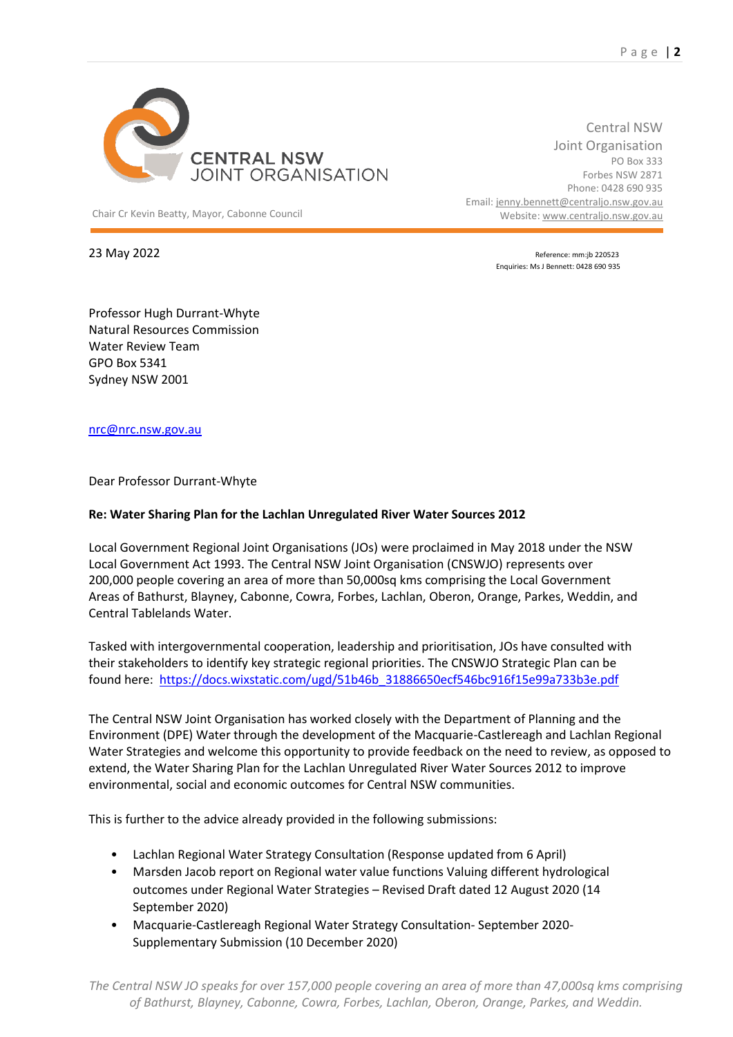

Chair Cr Kevin Beatty, Mayor, Cabonne Council Website: [www.centraljo.nsw.gov.au](http://www.centraljo.nsw.gov.au/)

Central NSW Joint Organisation PO Box 333 Forbes NSW 2871 Phone: 0428 690 935 Email[: jenny.bennett@centraljo.nsw.gov.au](mailto:jenny.bennett@centraljo.nsw.gov.au)

23 May 2022 **Reference:** mm:jb 220523 Enquiries: Ms J Bennett: 0428 690 935

Professor Hugh Durrant-Whyte Natural Resources Commission Water Review Team GPO Box 5341 Sydney NSW 2001

[nrc@nrc.nsw.gov.au](mailto:nrc@nrc.nsw.gov.au)

Dear Professor Durrant-Whyte

#### **Re: Water Sharing Plan for the Lachlan Unregulated River Water Sources 2012**

Local Government Regional Joint Organisations (JOs) were proclaimed in May 2018 under the NSW Local Government Act 1993. The Central NSW Joint Organisation (CNSWJO) represents over 200,000 people covering an area of more than 50,000sq kms comprising the Local Government Areas of Bathurst, Blayney, Cabonne, Cowra, Forbes, Lachlan, Oberon, Orange, Parkes, Weddin, and Central Tablelands Water.

Tasked with intergovernmental cooperation, leadership and prioritisation, JOs have consulted with their stakeholders to identify key strategic regional priorities. The CNSWJO Strategic Plan can be found here: [https://docs.wixstatic.com/ugd/51b46b\\_31886650ecf546bc916f15e99a733b3e.pdf](https://docs.wixstatic.com/ugd/51b46b_31886650ecf546bc916f15e99a733b3e.pdf)

The Central NSW Joint Organisation has worked closely with the Department of Planning and the Environment (DPE) Water through the development of the Macquarie-Castlereagh and Lachlan Regional Water Strategies and welcome this opportunity to provide feedback on the need to review, as opposed to extend, the Water Sharing Plan for the Lachlan Unregulated River Water Sources 2012 to improve environmental, social and economic outcomes for Central NSW communities.

This is further to the advice already provided in the following submissions:

- Lachlan Regional Water Strategy Consultation (Response updated from 6 April)
- Marsden Jacob report on Regional water value functions Valuing different hydrological outcomes under Regional Water Strategies – Revised Draft dated 12 August 2020 (14 September 2020)
- Macquarie-Castlereagh Regional Water Strategy Consultation- September 2020- Supplementary Submission (10 December 2020)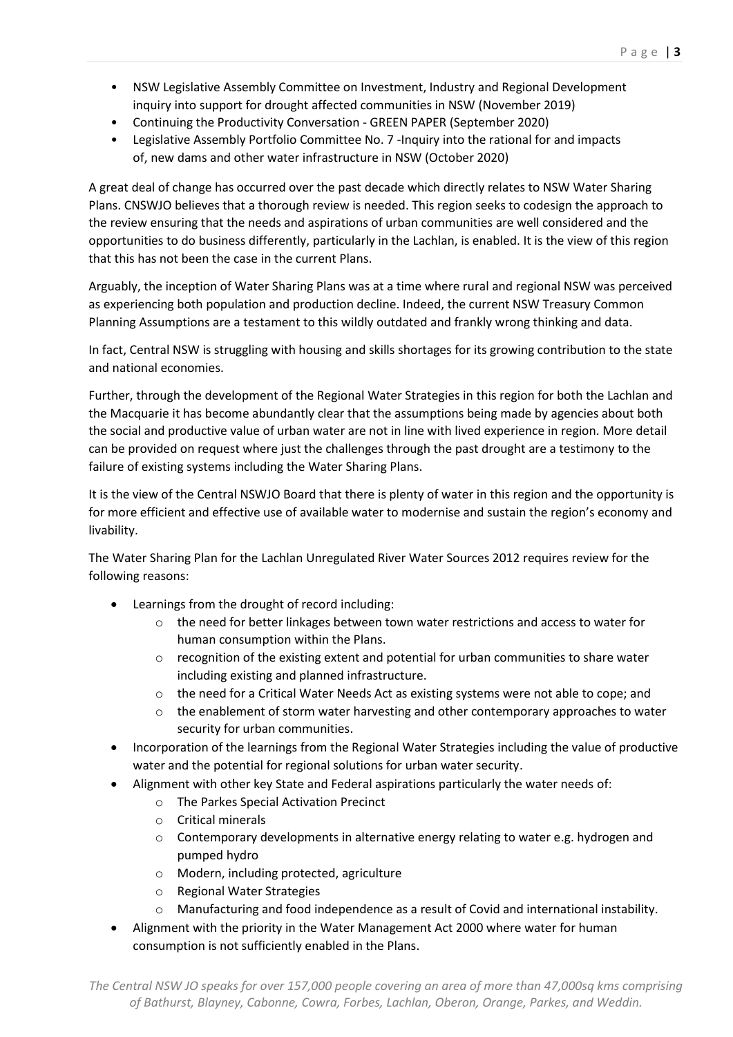- NSW Legislative Assembly Committee on Investment, Industry and Regional Development inquiry into support for drought affected communities in NSW (November 2019)
- Continuing the Productivity Conversation GREEN PAPER (September 2020)
- Legislative Assembly Portfolio Committee No. 7 -Inquiry into the rational for and impacts of, new dams and other water infrastructure in NSW (October 2020)

A great deal of change has occurred over the past decade which directly relates to NSW Water Sharing Plans. CNSWJO believes that a thorough review is needed. This region seeks to codesign the approach to the review ensuring that the needs and aspirations of urban communities are well considered and the opportunities to do business differently, particularly in the Lachlan, is enabled. It is the view of this region that this has not been the case in the current Plans.

Arguably, the inception of Water Sharing Plans was at a time where rural and regional NSW was perceived as experiencing both population and production decline. Indeed, the current NSW Treasury Common Planning Assumptions are a testament to this wildly outdated and frankly wrong thinking and data.

In fact, Central NSW is struggling with housing and skills shortages for its growing contribution to the state and national economies.

Further, through the development of the Regional Water Strategies in this region for both the Lachlan and the Macquarie it has become abundantly clear that the assumptions being made by agencies about both the social and productive value of urban water are not in line with lived experience in region. More detail can be provided on request where just the challenges through the past drought are a testimony to the failure of existing systems including the Water Sharing Plans.

It is the view of the Central NSWJO Board that there is plenty of water in this region and the opportunity is for more efficient and effective use of available water to modernise and sustain the region's economy and livability.

The Water Sharing Plan for the Lachlan Unregulated River Water Sources 2012 requires review for the following reasons:

- Learnings from the drought of record including:
	- $\circ$  the need for better linkages between town water restrictions and access to water for human consumption within the Plans.
	- $\circ$  recognition of the existing extent and potential for urban communities to share water including existing and planned infrastructure.
	- o the need for a Critical Water Needs Act as existing systems were not able to cope; and
	- $\circ$  the enablement of storm water harvesting and other contemporary approaches to water security for urban communities.
- Incorporation of the learnings from the Regional Water Strategies including the value of productive water and the potential for regional solutions for urban water security.
- Alignment with other key State and Federal aspirations particularly the water needs of:
	- o The Parkes Special Activation Precinct
	- o Critical minerals
	- $\circ$  Contemporary developments in alternative energy relating to water e.g. hydrogen and pumped hydro
	- o Modern, including protected, agriculture
	- o Regional Water Strategies
	- o Manufacturing and food independence as a result of Covid and international instability.
- Alignment with the priority in the Water Management Act 2000 where water for human consumption is not sufficiently enabled in the Plans.

*The Central NSW JO speaks for over 157,000 people covering an area of more than 47,000sq kms comprising of Bathurst, Blayney, Cabonne, Cowra, Forbes, Lachlan, Oberon, Orange, Parkes, and Weddin.*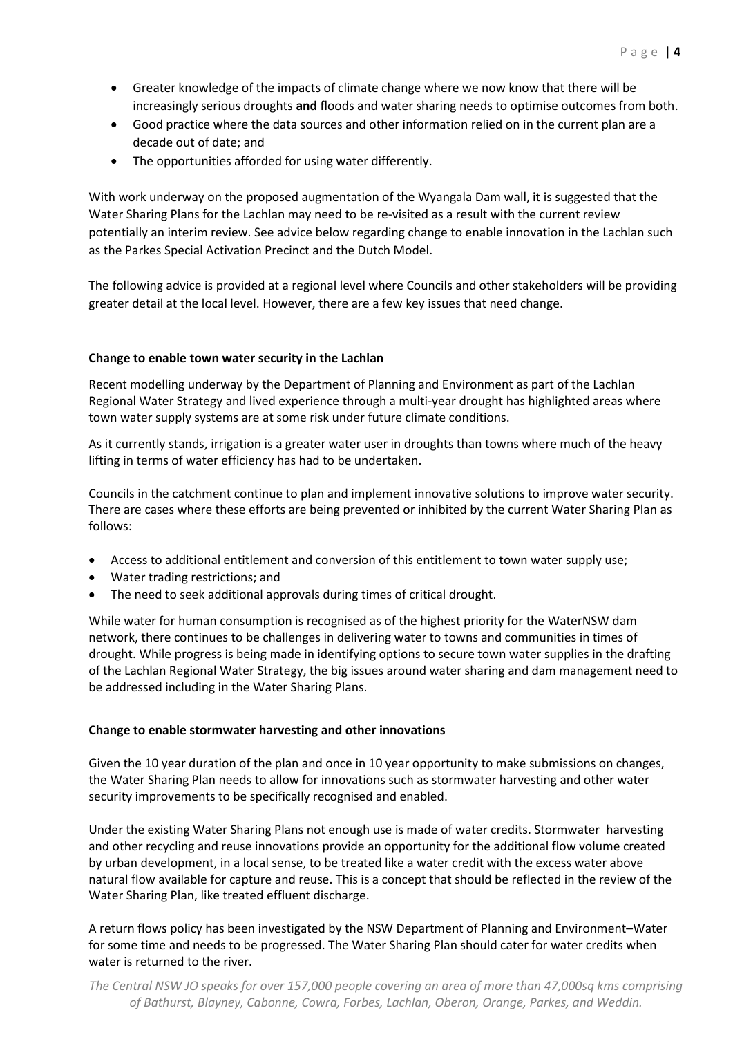- Greater knowledge of the impacts of climate change where we now know that there will be increasingly serious droughts **and** floods and water sharing needs to optimise outcomes from both.
- Good practice where the data sources and other information relied on in the current plan are a decade out of date; and
- The opportunities afforded for using water differently.

With work underway on the proposed augmentation of the Wyangala Dam wall, it is suggested that the Water Sharing Plans for the Lachlan may need to be re-visited as a result with the current review potentially an interim review. See advice below regarding change to enable innovation in the Lachlan such as the Parkes Special Activation Precinct and the Dutch Model.

The following advice is provided at a regional level where Councils and other stakeholders will be providing greater detail at the local level. However, there are a few key issues that need change.

# **Change to enable town water security in the Lachlan**

Recent modelling underway by the Department of Planning and Environment as part of the Lachlan Regional Water Strategy and lived experience through a multi-year drought has highlighted areas where town water supply systems are at some risk under future climate conditions.

As it currently stands, irrigation is a greater water user in droughts than towns where much of the heavy lifting in terms of water efficiency has had to be undertaken.

Councils in the catchment continue to plan and implement innovative solutions to improve water security. There are cases where these efforts are being prevented or inhibited by the current Water Sharing Plan as follows:

- Access to additional entitlement and conversion of this entitlement to town water supply use;
- Water trading restrictions; and
- The need to seek additional approvals during times of critical drought.

While water for human consumption is recognised as of the highest priority for the WaterNSW dam network, there continues to be challenges in delivering water to towns and communities in times of drought. While progress is being made in identifying options to secure town water supplies in the drafting of the Lachlan Regional Water Strategy, the big issues around water sharing and dam management need to be addressed including in the Water Sharing Plans.

#### **Change to enable stormwater harvesting and other innovations**

Given the 10 year duration of the plan and once in 10 year opportunity to make submissions on changes, the Water Sharing Plan needs to allow for innovations such as stormwater harvesting and other water security improvements to be specifically recognised and enabled.

Under the existing Water Sharing Plans not enough use is made of water credits. Stormwater harvesting and other recycling and reuse innovations provide an opportunity for the additional flow volume created by urban development, in a local sense, to be treated like a water credit with the excess water above natural flow available for capture and reuse. This is a concept that should be reflected in the review of the Water Sharing Plan, like treated effluent discharge.

A return flows policy has been investigated by the NSW Department of Planning and Environment–Water for some time and needs to be progressed. The Water Sharing Plan should cater for water credits when water is returned to the river.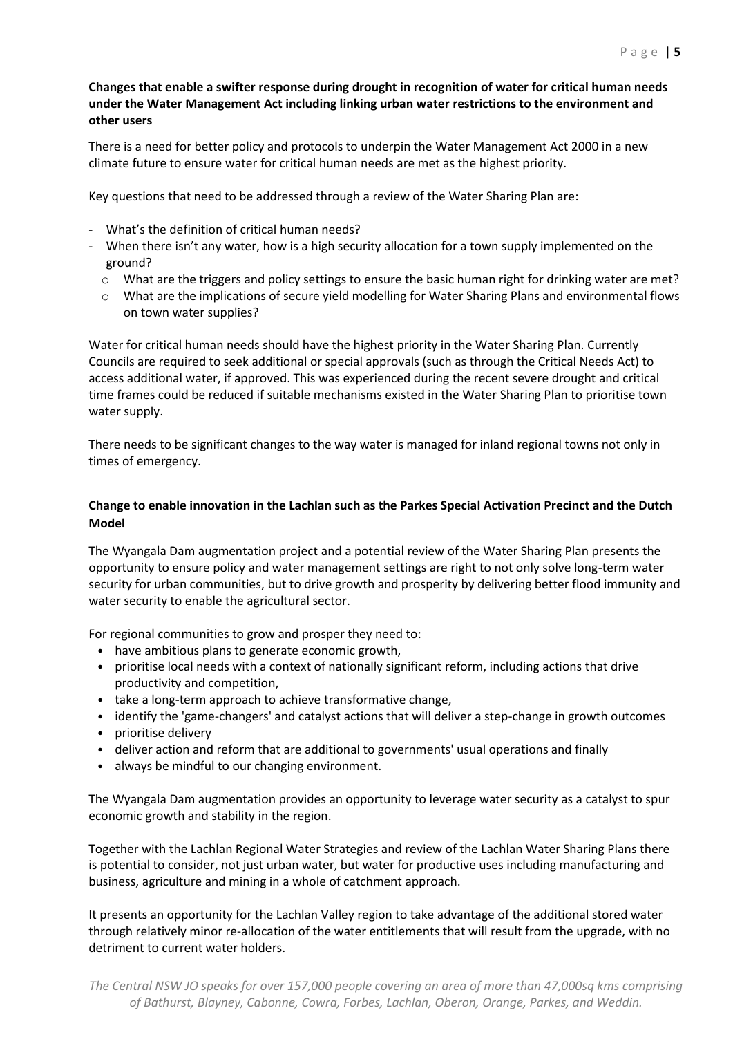# **Changes that enable a swifter response during drought in recognition of water for critical human needs under the Water Management Act including linking urban water restrictions to the environment and other users**

There is a need for better policy and protocols to underpin the Water Management Act 2000 in a new climate future to ensure water for critical human needs are met as the highest priority.

Key questions that need to be addressed through a review of the Water Sharing Plan are:

- What's the definition of critical human needs?
- When there isn't any water, how is a high security allocation for a town supply implemented on the ground?
	- $\circ$  What are the triggers and policy settings to ensure the basic human right for drinking water are met?
	- o What are the implications of secure yield modelling for Water Sharing Plans and environmental flows on town water supplies?

Water for critical human needs should have the highest priority in the Water Sharing Plan. Currently Councils are required to seek additional or special approvals (such as through the Critical Needs Act) to access additional water, if approved. This was experienced during the recent severe drought and critical time frames could be reduced if suitable mechanisms existed in the Water Sharing Plan to prioritise town water supply.

There needs to be significant changes to the way water is managed for inland regional towns not only in times of emergency.

# **Change to enable innovation in the Lachlan such as the Parkes Special Activation Precinct and the Dutch Model**

The Wyangala Dam augmentation project and a potential review of the Water Sharing Plan presents the opportunity to ensure policy and water management settings are right to not only solve long-term water security for urban communities, but to drive growth and prosperity by delivering better flood immunity and water security to enable the agricultural sector.

For regional communities to grow and prosper they need to:

- have ambitious plans to generate economic growth,
- prioritise local needs with a context of nationally significant reform, including actions that drive productivity and competition,
- take a long-term approach to achieve transformative change,
- identify the 'game-changers' and catalyst actions that will deliver a step-change in growth outcomes
- prioritise delivery
- deliver action and reform that are additional to governments' usual operations and finally
- always be mindful to our changing environment.

The Wyangala Dam augmentation provides an opportunity to leverage water security as a catalyst to spur economic growth and stability in the region.

Together with the Lachlan Regional Water Strategies and review of the Lachlan Water Sharing Plans there is potential to consider, not just urban water, but water for productive uses including manufacturing and business, agriculture and mining in a whole of catchment approach.

It presents an opportunity for the Lachlan Valley region to take advantage of the additional stored water through relatively minor re-allocation of the water entitlements that will result from the upgrade, with no detriment to current water holders.